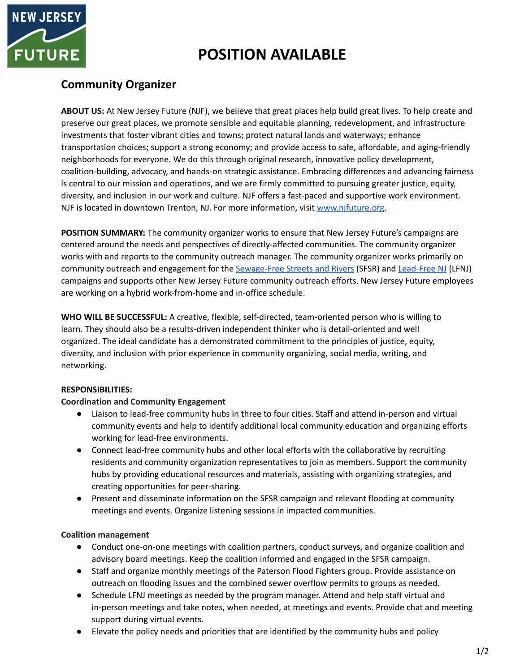

# **POSITION AVAILABLE**

## **Community Organizer**

**ABOUT US:** At New Jersey Future (NJF), we believe that great places help build great lives. To help create and preserve our great places, we promote sensible and equitable planning, redevelopment, and infrastructure investments that foster vibrant cities and towns; protect natural lands and waterways; enhance transportation choices; support a strong economy; and provide access to safe, affordable, and aging-friendly neighborhoods for everyone. We do this through original research, innovative policy development, coalition-building, advocacy, and hands-on strategic assistance. Embracing differences and advancing fairness is central to our mission and operations, and we are firmly committed to pursuing greater justice, equity, diversity, and inclusion in our work and culture. NJF offers a fast-paced and supportive work environment. NJF is located in downtown Trenton, NJ. For more information, visit [www.njfuture.org.](http://www.njfuture.org)

**POSITION SUMMARY:** The community organizer works to ensure that New Jersey Future's campaigns are centered around the needs and perspectives of directly-affected communities. The community organizer works with and reports to the community outreach manager. The community organizer works primarily on community outreach and engagement for the [Sewage-Free](https://sewagefreenj.org/) Streets and Rivers (SFSR) and [Lead-Free](https://www.leadfreenj.org/) NJ (LFNJ) campaigns and supports other New Jersey Future community outreach efforts. New Jersey Future employees are working on a hybrid work-from-home and in-office schedule.

**WHO WILL BE SUCCESSFUL:** A creative, flexible, self-directed, team-oriented person who is willing to learn. They should also be a results-driven independent thinker who is detail-oriented and well organized. The ideal candidate has a demonstrated commitment to the principles of justice, equity, diversity, and inclusion with prior experience in community organizing, social media, writing, and networking.

### **RESPONSIBILITIES:**

#### **Coordination and Community Engagement**

- Liaison to lead-free community hubs in three to four cities. Staff and attend in-person and virtual community events and help to identify additional local community education and organizing efforts working for lead-free environments.
- Connect lead-free community hubs and other local efforts with the collaborative by recruiting residents and community organization representatives to join as members. Support the community hubs by providing educational resources and materials, assisting with organizing strategies, and creating opportunities for peer-sharing.
- **●** Present and disseminate information on the SFSR campaign and relevant flooding at community meetings and events. Organize listening sessions in impacted communities.

#### **Coalition management**

- Conduct one-on-one meetings with coalition partners, conduct surveys, and organize coalition and advisory board meetings. Keep the coalition informed and engaged in the SFSR campaign.
- **●** Staff and organize monthly meetings of the Paterson Flood Fighters group. Provide assistance on outreach on flooding issues and the combined sewer overflow permits to groups as needed.
- Schedule LFNJ meetings as needed by the program manager. Attend and help staff virtual and in-person meetings and take notes, when needed, at meetings and events. Provide chat and meeting support during virtual events.
- Elevate the policy needs and priorities that are identified by the community hubs and policy